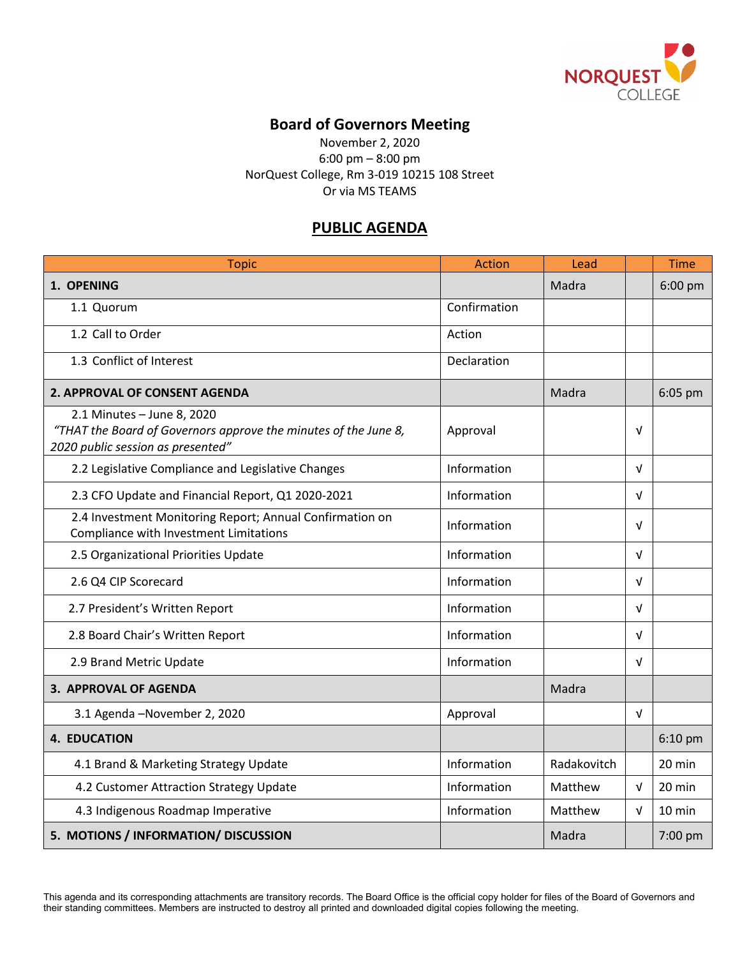

## **Board of Governors Meeting**

November 2, 2020 6:00 pm – 8:00 pm NorQuest College, Rm 3-019 10215 108 Street Or via MS TEAMS

## **PUBLIC AGENDA**

| <b>Topic</b>                                                                                                                       | Action       | Lead        |            | <b>Time</b> |
|------------------------------------------------------------------------------------------------------------------------------------|--------------|-------------|------------|-------------|
| 1. OPENING                                                                                                                         |              | Madra       |            | 6:00 pm     |
| 1.1 Quorum                                                                                                                         | Confirmation |             |            |             |
| 1.2 Call to Order                                                                                                                  | Action       |             |            |             |
| 1.3 Conflict of Interest                                                                                                           | Declaration  |             |            |             |
| 2. APPROVAL OF CONSENT AGENDA                                                                                                      |              | Madra       |            | 6:05 pm     |
| 2.1 Minutes - June 8, 2020<br>"THAT the Board of Governors approve the minutes of the June 8,<br>2020 public session as presented" | Approval     |             | V          |             |
| 2.2 Legislative Compliance and Legislative Changes                                                                                 | Information  |             | $\sqrt{ }$ |             |
| 2.3 CFO Update and Financial Report, Q1 2020-2021                                                                                  | Information  |             | V          |             |
| 2.4 Investment Monitoring Report; Annual Confirmation on<br>Compliance with Investment Limitations                                 | Information  |             | $\sqrt{ }$ |             |
| 2.5 Organizational Priorities Update                                                                                               | Information  |             | $\sqrt{ }$ |             |
| 2.6 Q4 CIP Scorecard                                                                                                               | Information  |             | $\sqrt{ }$ |             |
| 2.7 President's Written Report                                                                                                     | Information  |             | $\sqrt{ }$ |             |
| 2.8 Board Chair's Written Report                                                                                                   | Information  |             | V          |             |
| 2.9 Brand Metric Update                                                                                                            | Information  |             | V          |             |
| <b>3. APPROVAL OF AGENDA</b>                                                                                                       |              | Madra       |            |             |
| 3.1 Agenda - November 2, 2020                                                                                                      | Approval     |             | $\sqrt{ }$ |             |
| <b>4. EDUCATION</b>                                                                                                                |              |             |            | 6:10 pm     |
| 4.1 Brand & Marketing Strategy Update                                                                                              | Information  | Radakovitch |            | 20 min      |
| 4.2 Customer Attraction Strategy Update                                                                                            | Information  | Matthew     | V          | 20 min      |
| 4.3 Indigenous Roadmap Imperative                                                                                                  | Information  | Matthew     | V          | 10 min      |
| 5. MOTIONS / INFORMATION/ DISCUSSION                                                                                               |              | Madra       |            | 7:00 pm     |